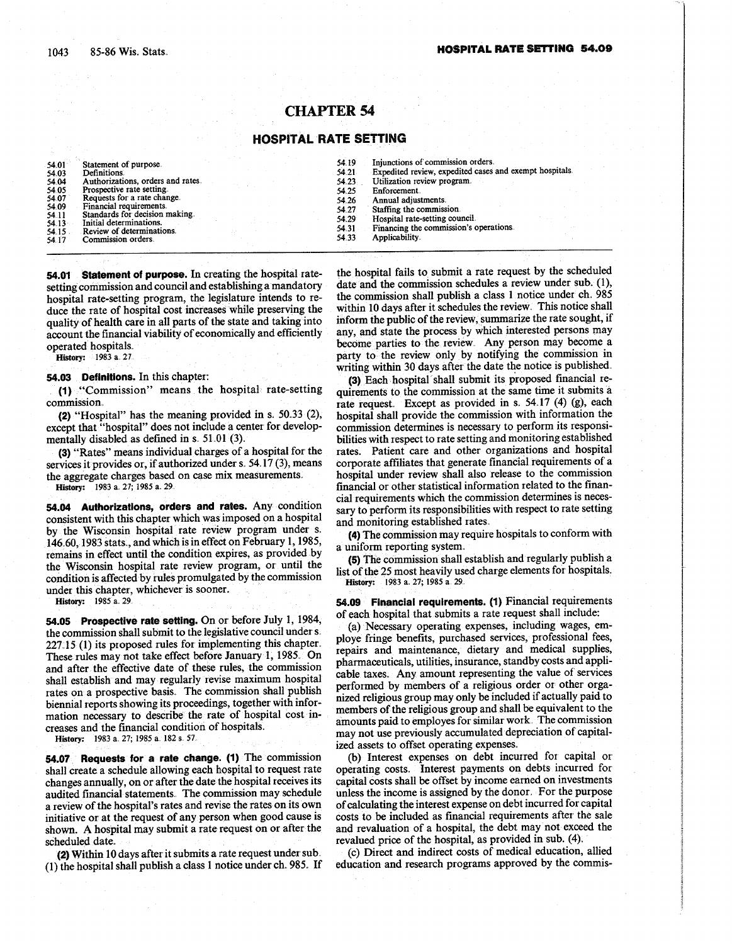# CHAPTER <sup>54</sup>

## HOSPITAL RATE SETTING

54.01 Statement of purpose<br>54.03 Definitions.<br>54.04 Authorizations, order<br>54.05 Prospective rate settin Definitions Authorizations, orders and rates,

- 54.05 Prospective rate setting.<br>54.07 Requests for a rate char Requests for a rate change.
- Financial requirements. 54.09<br>54.11
- Standards for decision making.
- ້ 54.13 Initial determinations.<br>54.15 Review of determinations.
- 54.15 Review of determinations<br>54.17 Commission orders. Commission orders
- 
- 54.25 Enforcement<br>54.26 Annual adjus
	-
	-
	-
	-

54.01 Statement of purpose. In creating the hospital ratesetting commission and council and establishing a mandatory hospital rate-setting program, the legislature intends to reduce the rate of hospital cost increases while preserving the quality of health care in all parts of the state and taking into account the financial viability of economically and efficiently operated hospitals.

History: 1983 a. 27

#### 54.03 Definitions. In this chapter:

(1) "Commission" means the hospital rate-setting commission.

(2) "Hospital" has the meaning provided in s.  $50.33$  (2), except that "hospital" does not include a center for developmentally disabled as defined in s. 51 .01 (3).

(3) "Rates" means individual charges of a hospital for the services it provides or, if authorized under s.  $54.17(3)$ , means the aggregate charges based on case mix measurements. History: 1983 a. 27, 1985 a. 29.

54.04 Authorizations, orders and rates. Any condition consistent with this chapter which was imposed on a hospital by the Wisconsin hospital rate review program under s. 146.60, 1983 stats., and which is in effect on February 1, 1985, remains in effect until the condition expires, as provided by the Wisconsin hospital rate review program, or until the condition is affected by rules promulgated by the commission under this chapter, whichever is sooner.

History: 1985 a. 29.

54.05 Prospective rate setting. On or before July 1, 1984, the commission shall submit to the legislative council under s. 227.15 (1) its proposed rules for implementing this chapter. These rules may not take effect before January 1, 1985 . On and after the effective date of these rules, the commission shall establish and may regularly revise maximum hospital rates on a prospective basis. The commission shall publish biennial reports showing its proceedings, together with information necessary to describe the rate of hospital cost increases and the financial condition of hospitals.

History: 1983 a. 27; 1985 a. 182 s. 57.

54.07 Requests for a rate change. (1) The commission shall create a schedule allowing each hospital to request rate changes annually, on or after the date the hospital receives its audited financial statements. The commission may schedule a review of the hospital's rates and revise the rates on its own initiative or at the request of any person when good cause is shown. A hospital may submit a rate request on or after the scheduled date.

(2) Within 10 days after it submits a rate request under sub.  $(1)$  the hospital shall publish a class 1 notice under ch. 985. If

the hospital fails to submit a rate request by the scheduled date and the commission schedules a review under sub.  $(1)$ , the commission shall publish a class 1 notice under ch. 985 within 10 days after it schedules the review. This notice shall inform the public of the review, summarize the rate sought, if any, and state the process by which interested persons may become parties to the review. Any person may become a party to the review only by notifying the commission in writing within 30 days after the date the notice is published .

(3) Each hospital shall submit its proposed financial requirements to the commission at the same time it submits a rate request. Except as provided in s.  $54.17$  (4) (g), each hospital shall provide the commission with information the commission determines is necessary to perform its responsibilities with respect to rate setting and monitoring established rates. Patient care and other organizations and hospital corporate affiliates that generate financial requirements of a hospital under review shall also release to the commission financial or other statistical information related to the financial requirements which the commission determines is necessary to perform its responsibilities with respect to rate setting and monitoring established rates.

(4) The commission may require hospitals to conform with a uniform reporting system. .

(5) The commission shall establish and regularly publish a list of the 25 most heavily used charge elements for hospitals .. History: 1983 a. 27; 1985 a. 29.

54 .09 Financial requirements . (1) Financial requirements of each hospital that submits a rate request shall include :

(a) Necessary operating expenses, including wages, employe fringe benefits, purchased services, professional fees, repairs and maintenance, dietary and medical supplies, pharmaceuticals, utilities, insurance, standby costs and applicable taxes. Any amount representing the value of services performed by members of a religious order or other organized religious group may only be included if actually paid to members of the religious group and shall be equivalent to the amounts paid to employes for similar work, The commission may not use previously accumulated depreciation of capitalized assets to offset operating expenses.

(b) Interest expenses on debt incurred for capital or operating costs. Interest payments on debts incurred for capital costs shall be offset by income earned on investments unless the income is assigned by the donor-, For the purpose of calculating the interest expense on debt incurred for capital costs to be included as financial requirements after the sale and revaluation of a hospital, the debt may not exceed the revalued price of the hospital, as provided in sub. (4).

(c) Direct and indirect costs of medical education, allied education and research programs approved by the commis-

- 54.19 Injunctions of commission orders.<br>54.21 Expedited review, expedited cases 54.21 Expedited review, expedited cases and exempt hospitals.<br>54.23 Utilization review program. 54.23 Utilization review program.<br>54.25 Enforcement.
	- 54.26 Annual adjustments<br>54.27 Staffing the commis-
	- 54.27 Staffing the commission<br>54.29 Hospital rate-setting cov
	- 54.29 Hospital rate-setting council<br>54.31 Financing the commission's o 54.31 Financing the commission's operations .<br>54.33 Applicability.
		- Applicability.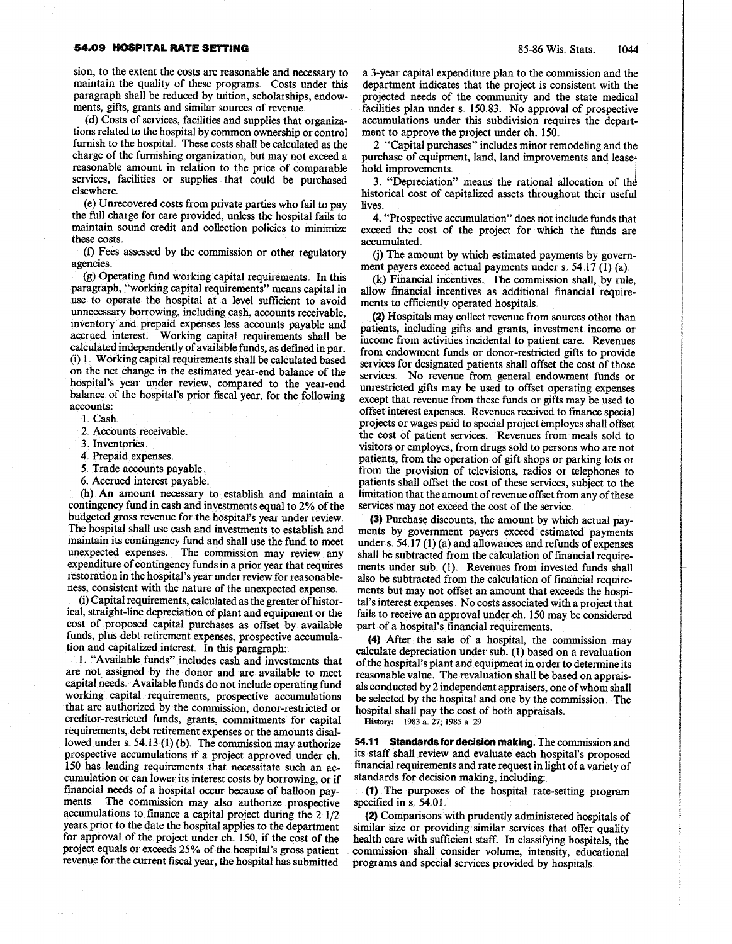### **54.09 HOSPITAL RATE SETTING 85-86 Wis. Stats.** 1044

sion, to the extent the costs are reasonable and necessary to maintain the quality of these programs. Costs under this paragraph shall be reduced by tuition, scholarships, endowments, gifts, grants and similar sources of revenue.

(d) Costs of services , facilities and supplies that organizations related to the hospital by common ownership or control furnish to the hospital. These costs shall be calculated as the charge of the furnishing organization, but may not exceed a reasonable amount in relation to the price of comparable services, facilities or supplies that could be purchased elsewhere.

(e) Unrecovered costs from private parties who fail to pay the full charge for care provided, unless the hospital fails to maintain sound credit and collection policies to minimize these costs .

(f) Fees assessed by the commission or other regulatory agencies.

(g) Operating fund working capital requirements . In this paragraph, "working capital requirements" means capital in use to operate the hospital at a level sufficient to avoid unnecessary borrowing, including cash, accounts receivable, inventory and prepaid expenses less accounts payable and accrued interest. Working capital requirements shall be calculated independently of available funds, as defined in par . (i) 1. Working capital requirements shall be calculated based on the net change in the estimated year-end balance of the hospital's year under review, compared to the year-end balance of the hospital's prior fiscal year, for the following accounts:

1. Cash.

2. Accounts receivable.

3. Inventories.

- \_4, Prepaid expenses .
- 5. Trade accounts payable.
- 6. Accrued interest payable.

(h) An amount necessary to establish and maintain a contingency fund in cash and investments equal to 2% of the budgeted gross revenue for the hospital's year under review. The hospital shall use cash and investments to establish and maintain its contingency fund and shall use the fund to meet unexpected expenses. The commission may review any expenditure of contingency funds in a prior year that requires restoration in the hospital's year under review for reasonableness, consistent with the nature of the unexpected expense

(i) Capital requirements, calculated as the greater of historical, straight-line depreciation of plant and equipment or the cost of proposed capital purchases as offset by available funds, plus debt retirement expenses, prospective accumulation and capitalized interest. In this paragraph:

1. "Available funds" includes cash and investments that are not assigned by the donor and are available to meet capital needs.. Available funds do not include operating fund working capital requirements, prospective accumulations that are authorized by the commission, donor-restricted or creditor-restricted funds, grants, commitments for capital requirements, debt retirement expenses or the amounts disallowed under s.  $54.13(1)$  (b). The commission may authorize prospective accumulations if a project approved under ch. 150 has lending requirements that necessitate such an accumulation or can lower its interest costs by borrowing, or if financial needs of a hospital occur because of balloon payments. The commission may also authorize prospective accumulations to finance a capital project during the  $2 \frac{1}{2}$ years prior to the date the hospital applies to the department for approval of the project under ch, 150, if the cost of the project equals or exceeds 25% of the hospital's gross patient revenue for the current fiscal year, the hospital has submitted

a 3-year capital expenditure plan to the commission and the department indicates that the project is consistent with the projected needs of the community and the state medical facilities plan under s. 150.83. No approval of prospective accumulations under this subdivision requires the department to approve the project under ch. 150.

2. "Capital purchases" includes minor remodeling and the purchase of equipment, land, land improvements and leasehold improvements.

3. "Depreciation" means the rational allocation of the historical cost of capitalized assets throughout their useful lives.

4. "Prospective accumulation" does not include funds that exceed the cost of the project for which the funds are accumulated

(j) The amount by which estimated payments by government payers exceed actual payments under s. 54.17 (1) (a).

(k) Financial incentives. The commission shall, by rule, allow financial incentives as additional financial requirements to efficiently operated hospitals.

(2) Hospitals may collect revenue from sources other than patients, including gifts and grants, investment income or income from activities incidental to patient care . Revenues from endowment funds or donor-restricted gifts to provide services for designated patients shall offset the cost of those services . No revenue from general endowment funds or unrestricted gifts may be used to offset operating expenses except that revenue from these funds or gifts may be used to offset interest expenses . Revenues received to finance special projects or wages paid to special project employes shall offset the cost of patient services. Revenues from meals sold to visitors or employes, from drugs sold to persons who are not patients, from the operation of gift shops or parking lots or from the provision of televisions, radios or telephones to patients shall offset the cost of these services, subject to the limitation that the amount of revenue offset from any of these services may not exceed the cost of the service.

(3) Purchase discounts, the amount by which actual payments by government payers exceed estimated payments under s.  $54.17(1)(a)$  and allowances and refunds of expenses shall be subtracted from the calculation of financial requirements under sub. (1). Revenues from invested funds shall also be subtracted from the calculation of financial requirements but may not offset an amount that exceeds the hospital's interest expenses.. No costs associated with a project that fails to receive an approval under ch. 150 may be considered part of a hospital's financial requirements.

(4) After the sale of a hospital, the commission may calculate depreciation under sub. (1) based on a revaluation of the hospital's plant and equipment in order to determine its reasonable value. The revaluation shall be based on appraisals conducted by 2 independent appraisers, one of whom shall be selected by the hospital and one by the commission . The hospital shall pay the cost of both appraisals.

History: 1983 a. 27; 1985 a. 29.

54.11 Standards for decision making. The commission and its staff shall :review and evaluate each hospital's proposed financial requirements and rate request in light of a variety of standards for decision making, including:

(1) ; The purposes of the hospital rate-setting program specified in  $s$ . 54.01.

(2) Comparisons with prudently administered hospitals of similar size or providing similar services that offer quality health care with sufficient staff. In classifying hospitals, the commission- shall consider volume, intensity, educational programs and special services provided by hospitals.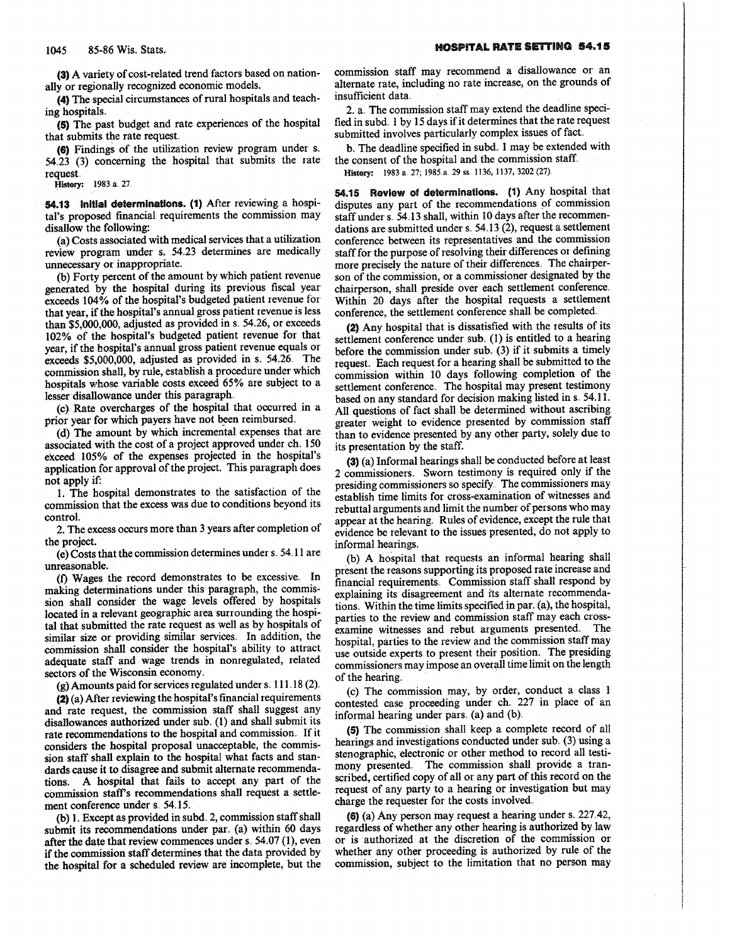(3) A variety of cost-related trend factors based on nationally or regionally recognized economic models.

(4) The special circumstances of rural hospitals and teaching hospitals .

(5) The past budget and rate experiences of the hospital that submits the rate request.

(6) Findings of the utilization review program under s . 54 .23 (3) concerning the hospital that submits the rate request.

History: 1983 a 27.

54.13 Initial determinations. (1) After reviewing a hospital's proposed financial requirements the commission may disallow the following:

(a) Costs associated with medical services that a utilization review program under s. 54.23 determines are medically unnecessary or inappropriate.

(b) Forty percent of the amount by which patient revenue generated by the hospital during its previous fiscal year exceeds 104% of the hospital's budgeted patient revenue fox, that year, if the hospital's annual gross patient revenue is less than  $$5,000,000$ , adjusted as provided in s.  $54.26$ , or exceeds 102% of the hospital's budgeted patient revenue for that year, if the hospital's annual gross patient revenue equals or exceeds \$5,000,000, adjusted as provided in s. 54.26. The commission shall, by rule, establish a procedure under which hospitals whose variable costs exceed 65% are subject to a lesser disallowance under this paragraph.

(c) Rate overcharges of the hospital that occurred in a prior year for which payers have not been reimbursed.

(d) The amount by which incremental expenses that are associated with the cost of a project approved under ch. 150 exceed 105% of the expenses projected in the hospital's application for approval of the project. This paragraph does not apply if:

1. The hospital demonstrates to the satisfaction of the commission that the excess was due to conditions beyond its control.

2 . The excess occurs more than 3 years after completion of the project.

(e) Costs that the commission determines under s. 54.11 are unreasonable .

(f) Wages the record demonstrates to be excessive. In making determinations under this paragraph, the commission shall consider the wage levels offered by hospitals located in a relevant geographic area surrounding the hospital that submitted the rate request as well as by hospitals of similar size or providing similar services. In addition, the commission shall consider the hospital's ability to attract adequate staff and wage trends in nonregulated, related sectors of the Wisconsin economy.

 $(g)$  Amounts paid for services regulated under s. 111 .18 (2).

(2) (a) After reviewing the hospital's financial requirements and rate request, the commission staff shall suggest any disallowances authorized under sub.. (1) and shall submit its rate recommendations to the hospital and commission, . If it considers the hospital proposal unacceptable, the commission staff shall explain to the hospital what facts and standards cause it to disagree and submit alternate recommendations. A hospital that fails to accept any part of the commission staff's recommendations shall request a settlement conference under s. 54.15.

(b) 1. Except as provided in subd. 2, commission staff shall submit its recommendations under par. (a) within 60 days after the date that review commences under s. 54.07 (1), even if the commission staff determines that the data provided by the hospital for a scheduled review are incomplete, but the commission staff may recommend a disallowance or an alternate rate, including no rate increase, on the grounds of insufficient data.

2. a. The commission staff may extend the deadline specified in subd. 1 by 15 days if it determines that the rate request submitted involves particularly complex issues of fact.

b. The deadline specified in subd. 1 may be extended with the consent of the hospital and the commission staff.

History: 1983 a. 27; 1985 a. 29 ss. 1136, 1137, 3202 (27)

54.15 Review of determinations. (1) Any hospital that disputes any part of the recommendations of commission staff under s. 54.13 shall, within 10 days after the recommendations are submitted under s.  $54.13$  (2), request a settlement conference between its representatives and the commission staff for the purpose of resolving their differences or defining more precisely the nature of their differences. The chairperson of the commission, or a commissioner designated by the chairperson, shall preside over each settlement conference . Within 20 days after the hospital requests a settlement conference, the settlement conference shall be completed.

(2) Any hospital that is dissatisfied with the results of its settlement conference under sub . (1) is entitled to a hearing before the commission under sub (3) if it submits a timely request. Each request for a hearing shall be submitted to the commission within 10 days following completion of the settlement conference. The hospital may present testimony based on any standard for decision making listed in s. 54.11. All questions of fact shall be determined without ascribing greater weight to evidence presented by commission staff than to evidence presented by any other party, solely due to its presentation by the staff .

(3) (a) Informal hearings shall be conducted before at least 2 commissioners. Sworn testimony is required only if the presiding commissioners so specify : The commissioners may establish time limits for cross-examination of witnesses and rebuttal arguments and limit the number of persons who may appear at the hearing. Rules of evidence, except the rule that evidence be relevant to the issues presented, do not apply to informal hearings.

(b) A hospital that requests an informal hearing shall present the reasons supporting its proposed rate increase and financial requirements. Commission staff shall respond by explaining its disagreement and its alternate recommendations. Within the time limits specified in par. (a), the hospital, parties to the review and commission staff may each crossexamine witnesses and rebut arguments presented . The hospital, parties to the review and the commission staff may use outside experts to present their position. The presiding commissioners may impose an overall time limit on the length of the hearing.

(c) The commission may, by order, conduct a class 1 contested case proceeding under ch. 227 in place of an informal hearing under pars.  $(a)$  and  $(b)$ .

(5) The commission shall keep a complete record of all hearings and investigations conducted under sub. (3) using a stenographic, electronic or other method to record all testimony presented. The commission shall provide a transcribed, certified copy of all or any part of this record on the request of any party to a hearing or investigation but may charge the requester for the costs involved ..

(6) (a) Any person may request a hearing under s.. 227,42, regardless of whether any other hearing is authorized by law or is authorized at the discretion of the commission or whether any other proceeding is authorized by rule of the commission, subject to the limitation that no person may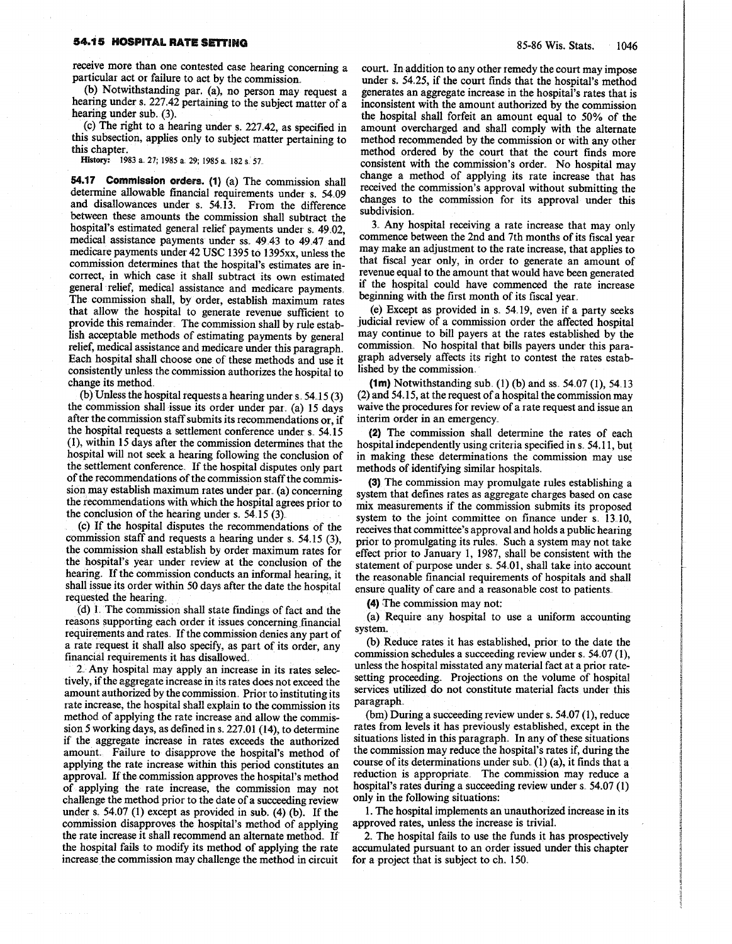### 54.15 HOSPITAL RATE SETTING

receive more than one contested case hearing concerning a particular act or failure to act by the commission.

(b) Notwithstanding par. (a), no person may request a hearing under s. 227.42 pertaining to the subject matter of a hearing under sub.  $(3)$ .

(c) The right to a hearing under s.  $227.42$ , as specified in this subsection, applies only to subject matter pertaining to this chapter.<br>History: 1983 a. 27, 1985 a. 29, 1985 a. 182 s. 57.

54.17 Commission orders. (1) (a) The commission shall determine allowable financial requirements under s. 54 .09 and disallowances under s. 54.13. From the difference between these amounts the commission shall subtract the hospital's estimated general relief payments under s. 49.02, medical assistance payments under ss. 49.43 to 49.47 and medicare payments under 42 USC 1395 to 1395xx, unless the commission determines that the hospital's estimates are incorrect, in which case it shall subtract its own estimated general relief, medical assistance and medicare payments. The commission shall, by order, establish maximum rates that allow the hospital to generate revenue sufficient to provide this remainder. The commission shall by rule establish acceptable methods of estimating payments by general relief, medical assistance and medicare under this paragraph. Each hospital shall choose one of these methods and use it consistently unless the commission authorizes the hospital to change its method.

(b) Unless the hospital requests a hearing under  $s$ , 54.15 (3) the commission shall issue its order under par. (a) 15 days after the commission staff submits its recommendations or, if the hospital requests a settlement conference under s. 54.15 (1) , within 15 days after the commission determines that the hospital will not seek a hearing following the conclusion of the settlement conference. If the hospital disputes only part of the recommendations of the commission staff the commission may establish maximum rates under par. (a) concerning the recommendations with which the hospital agrees prior to the conclusion of the hearing under s.  $54.15(3)$ 

(c) If the hospital disputes the recommendations of the commission staff and requests a hearing under s. 54.15 (3), the commission shall establish by order maximum rates for, the hospital's year under review at the conclusion of the hearing. If the commission conducts an informal hearing, it shall issue its order within 50 days after the date the hospital requested the hearing.

(d) 1 . The commission shall state findings of fact and the reasons supporting each order it issues concerning financial requirements and rates. If the commission denies any part of a rate request it shall also specify, as part of its order, any financial requirements it has disallowed .

2. Any hospital may apply an increase in its rates selectively , if the aggregate increase in its rates does not exceed the amount authorized by the commission. Prior to instituting its rate increase, the hospital shall explain to the commission its method of applying the rate increase and allow the commission 5 working days, as defined in s. 227.01 (14), to determine if the aggregate increase in rates exceeds the authorized amount. Failure to disapprove the hospital's method of applying the rate increase within this period constitutes an approval. If the commission approves the hospital's method of applying the rate increase, the commission may not challenge the method prior to the date of a succeeding review under s.  $54.07$  (1) except as provided in sub. (4) (b). If the commission disapproves the hospital's method of applying the rate increase it shall recommend an alternate method. If the hospital fails to modify its method of applying the rate increase the commission may challenge the method in circuit

court. In addition to any other remedy the court may impose under s. 54.25, if the court finds that the hospital's method generates an aggregate increase in the hospital's rates that is inconsistent with the amount authorized by the commission the, hospital shall forfeit an amount equal to 50% of the amount overcharged and shall comply with the alternate method recommended by the commission or with any other method ordered by the court that the court finds more consistent with the commission's order. No hospital may change a method of applying its rate increase that has received the commission's approval without submitting the changes to the commission for its approval under this subdivision.. EVERTIME THIS SETTING<br>
SETTING 82. 11983 a 27 **EVALUAT SETTING**<br>
(b) Notwithstanding par. (a), no person may request a generates an aggregate increase in the hospital's method<br>
(b) Notwithstanding par. (a), no person may r

> 3. Any hospital receiving a rate increase that may only commence between the 2nd and 7th months of its fiscal year maymake an adjustment to the rate increase, that applies to that fiscal year only, in order to generate an amount of revenue equal to the amount that would have been generated if the hospital could have commenced the rate increase beginning with the first month of its fiscal year .

> (e) Except as provided in s. 54.19, even if a party seeks judicial review of a commission order the affected hospital may continue to bill payers at the rates established by the commission. No hospital that bills payers under this paragraph adversely affects its right to contest the rates established by the commission ..

> (1m) Notwithstanding sub. (1) (b) and ss.  $54.07$  (1),  $54.13$ (2) and 54. 15, at the request of a hospital the commission may waive the procedures for review of a rate request and issue an interim order in an emergency ..

> (2) The commission shall determine the rates of each hospital independently using criteria specified in s. 54.11, but in making these determinations the commission may use methods of identifying similar hospitals.

> (3) The commission may promulgate rules establishing a system that defines rates as aggregate charges based on case mix measurements if the commission submits its proposed system to the joint committee on finance under s. 13.10, receives that committee's approval and holds a public hearing prior to promulgating its rules. Such a system may not take effect prior to January 1, 1987, shall be consistent with the statement of purpose under s. 54.01, shall take into account the reasonable financial requirements of hospitals and shall ensure quality of care and a reasonable cost to patients.

(4) The commission may not:

(a) Require any hospital to use a uniform accounting system.

(b) Reduce rates it has established, prior to the date the commission schedules a succeeding review under s. 54.07 (1), unless the hospital misstated any material fact at a prior ratesetting proceeding.. Projections on the volume of hospital services utilized do not constitute material facts under this paragraph ,

 $(bm)$  During a succeeding review under s. 54.07 (1), reduce rates from levels it has previously established, except in the situations listed in this paragraph. In any of these situations the commission may reduce the hospital's rates if, during the course of its determinations under sub.  $(1)$  (a), it finds that a reduction is appropriate The commission may reduce a hospital's rates during a succeeding review under s. 54.07 (1) only in the following situations:

1. The hospital implements an unauthorized increase in its approved rates, unless the increase is trivial.

2.. The hospital fails to use the funds it has prospectively accumulated pursuant to an order issued under this chapter for a project that is subject to ch.  $150$ .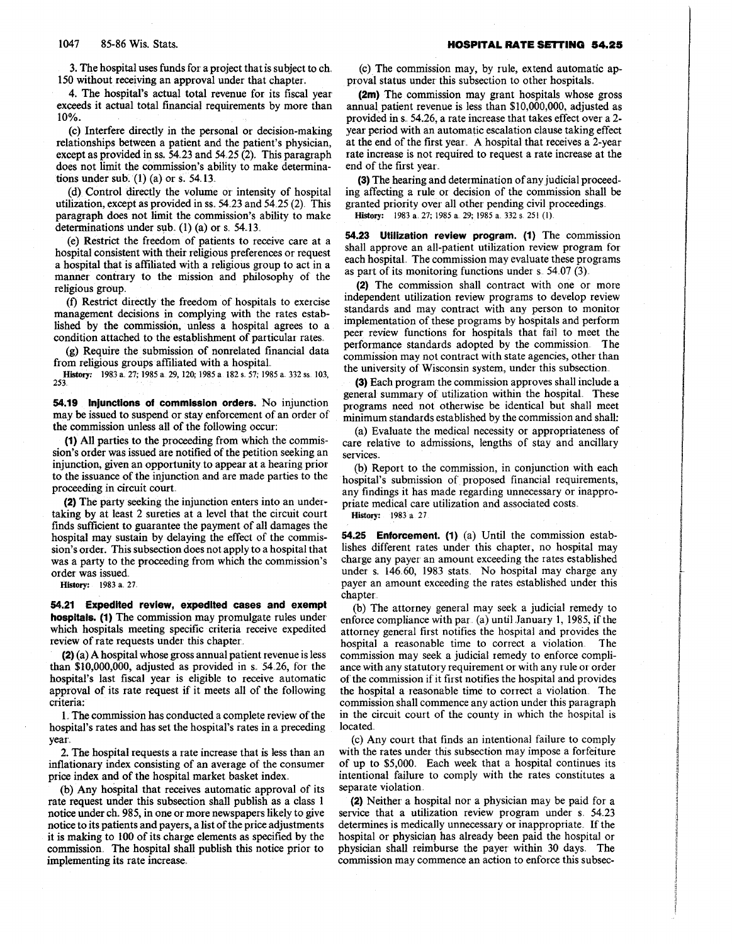3 . The hospital uses funds for a project that is subject to ch ., 150 without receiving an approval under that chapter.

4. The hospital's actual total revenue for its fiscal year exceeds it actual total financial requirements by more than 10% .

(c) Interfere directly in the personal or decision-making relationships between a patient and the patient's physician, except as provided in ss.  $54.23$  and  $54.25(2)$ . This paragraph does not limit the commission 's ability to make determinations under sub.  $(1)$  (a) or s. 54.13.

(d) Control directly the volume or intensity of hospital utilization, except as provided in ss " 54,23 and 54,25 (2). This paragraph does not limit the commission's ability to make determinations under sub.  $(1)$   $(a)$  or s. 54.13.

(e) Restrict the freedom of patients to receive care at a hospital consistent with their religious preferences or request a hospital that is affiliated with a religious group to act in a manner contrary to the mission and philosophy of the religious group.

(f) Restrict directly the freedom of hospitals to exercise management decisions in complying with the rates established by the commission, unless a hospital agrees to a condition attached to the establishment of particular rates .

(g) Require the submission of nonrelated financial data from religious groups affiliated with a hospital ..

History: 1983 a. 27; 1985 a. 29, 120; 1985 a. 182 s. 57; 1985 a. 332 ss. 103, 253.

54.19 Injunctions of commission orders. No injunction may be issued to suspend or stay enforcement of an order of the commission unless all of the following occur:

(1) All parties to the proceeding from which the commis sion's order was issued are notified of the petition seeking an injunction, given an opportunity to appear at a hearing prior to the issuance of the injunction and are made parties to the proceeding in circuit court.

(2) The party seeking the injunction enters into an undertaking by at least 2 sureties at a level that the circuit court finds sufficient to guarantee the payment of all damages the hospital may sustain by delaying the effect of the commission's order. This subsection does not apply to a hospital that was a party to the proceeding from which the commission's order was issued.

History: 1983 a. 27.

54.21 Expedited review, expedited cases and exempt hospitals. (1) The commission may promulgate rules under which hospitals meeting specific criteria receive expedited review of rate requests under this chapter..

(2) (a) A hospital whose gross annual patient revenue is less than  $$10,000,000$ , adjusted as provided in s. 54.26, for the hospital's last fiscal year is eligible to receive automatic approval of its rate request if it meets all of the following criteria:

1. The commission has conducted a complete review of the hospital's rates and has set the hospital's rates in a preceding year.

2. The hospital requests a rate increase that is less than an inflationary index consisting of an average of the consumer price index and of the hospital market basket index.

(b) Any hospital that receives automatic approval of its rate request under this subsection shall publish as a class 1 notice under ch. 985, in one or more newspapers likely to give notice to its patients and payers, a list of the price adjustments it is making to 100 of its charge elements as specified by the commission, The hospital shall publish this notice prior to implementing its rate increase.

(c) The commission may, by rule, extend automatic approval status under this subsection to other hospitals.

(2m) The commission may grant hospitals whose gross annual patient revenue is less than \$10,000,000, adjusted as provided in s. 54.26, a rate increase that takes effect over a 2year period with an automatic escalation clause taking effect at the end of the first year., A hospital that receives a 2-year rate increase is not required to request a rate increase at the end of the first year..

(3) The hearing and determination of any judicial proceeding affecting a rule or decision of the commission shall be granted priority over all other pending civil proceedings. History: 1983 a. 27; 1985 a. 29; 1985 a. 332 s. 251 (1).

54.23 Utilization review program. (1) The commission shall approve an all-patient utilization review program for each hospital. The commission may evaluate these programs as part of its monitoring functions under  $s$  54.07 (3).

(2) The commission shall contract with one or more independent utilization review programs to develop review standards and may contract with any person to monitor implementation of these programs by hospitals and perform peer review functions for hospitals that fail to meet the performance standards adopted by the commission. The commission may not contract with state agencies, other than the university of Wisconsin system, under this subsection ..

(3) Each program the commission approves shall include a general summary of utilization within the hospital . These programs need not otherwise be identical but shall meet minimum standards established by the commission and shall:

(a) Evaluate the medical necessity or appropriateness of care relative to admissions, lengths of stay and ancillary services.

(b) Report to the commission, in conjunction with each hospital's submission of proposed financial requirements, any findings it has made regarding unnecessary or inappropriate medical care utilization and associated costs.

History: 1983 a 27

**54.25 Enforcement.** (1) (a) Until the commission establishes different rates under this chapter, no hospital may charge any payer an amount exceeding the rates established under s.  $146.60$ , 1983 stats. No hospital may charge any payer an amount exceeding the rates established under this chapter . .

(b) The attorney general may seek a judicial remedy to enforce compliance with par  $(a)$  until January 1, 1985, if the attorney general first notifies the hospital and provides the hospital a reasonable time to correct a violation . The commission may seek a judicial remedy to enforce compliance with any statutory requirement or with any rule or order of' the commission if' it first notifies the hospital and provides the hospital a reasonable time to correct a violation,. The commission shall commence any action under this paragraph in the circuit court of the county in which the hospital is located.

(c) Any court that finds an intentional failure to comply with the rates under this subsection may impose a forfeiture of up to \$5,000. Each week that a hospital continues its intentional failure to comply with the rates constitutes a separate violation .

(2) Neither a hospital nor a physician may be paid for a service that a utilization review program under s. 54.23 determines is medically unnecessary or inappropriate. If the hospital or physician has already been paid the hospital or physician shall reimburse the payer within 30 days. The commission may commence an action to enforce this subsec